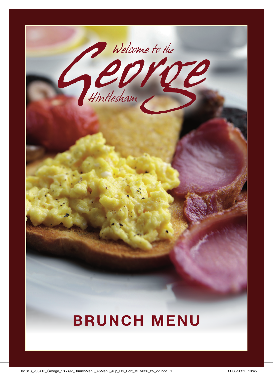

## **BRUNCH MENU**